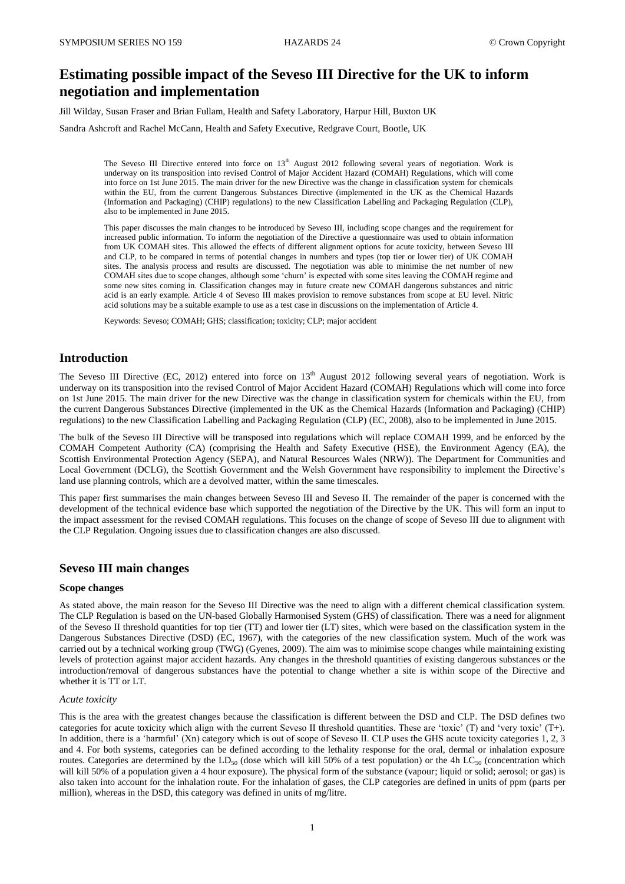# **Estimating possible impact of the Seveso III Directive for the UK to inform negotiation and implementation**

Jill Wilday, Susan Fraser and Brian Fullam, Health and Safety Laboratory, Harpur Hill, Buxton UK

Sandra Ashcroft and Rachel McCann, Health and Safety Executive, Redgrave Court, Bootle, UK

The Seveso III Directive entered into force on  $13<sup>th</sup>$  August 2012 following several years of negotiation. Work is underway on its transposition into revised Control of Major Accident Hazard (COMAH) Regulations, which will come into force on 1st June 2015. The main driver for the new Directive was the change in classification system for chemicals within the EU, from the current Dangerous Substances Directive (implemented in the UK as the Chemical Hazards (Information and Packaging) (CHIP) regulations) to the new Classification Labelling and Packaging Regulation (CLP), also to be implemented in June 2015.

This paper discusses the main changes to be introduced by Seveso III, including scope changes and the requirement for increased public information. To inform the negotiation of the Directive a questionnaire was used to obtain information from UK COMAH sites. This allowed the effects of different alignment options for acute toxicity, between Seveso III and CLP, to be compared in terms of potential changes in numbers and types (top tier or lower tier) of UK COMAH sites. The analysis process and results are discussed. The negotiation was able to minimise the net number of new COMAH sites due to scope changes, although some 'churn' is expected with some sites leaving the COMAH regime and some new sites coming in. Classification changes may in future create new COMAH dangerous substances and nitric acid is an early example. Article 4 of Seveso III makes provision to remove substances from scope at EU level. Nitric acid solutions may be a suitable example to use as a test case in discussions on the implementation of Article 4.

Keywords: Seveso; COMAH; GHS; classification; toxicity; CLP; major accident

## **Introduction**

The Seveso III Directive (EC, 2012) entered into force on  $13<sup>th</sup>$  August 2012 following several years of negotiation. Work is underway on its transposition into the revised Control of Major Accident Hazard (COMAH) Regulations which will come into force on 1st June 2015. The main driver for the new Directive was the change in classification system for chemicals within the EU, from the current Dangerous Substances Directive (implemented in the UK as the Chemical Hazards (Information and Packaging) (CHIP) regulations) to the new Classification Labelling and Packaging Regulation (CLP) (EC, 2008), also to be implemented in June 2015.

The bulk of the Seveso III Directive will be transposed into regulations which will replace COMAH 1999, and be enforced by the COMAH Competent Authority (CA) (comprising the Health and Safety Executive (HSE), the Environment Agency (EA), the Scottish Environmental Protection Agency (SEPA), and Natural Resources Wales (NRW)). The Department for Communities and Local Government (DCLG), the Scottish Government and the Welsh Government have responsibility to implement the Directive's land use planning controls, which are a devolved matter, within the same timescales.

This paper first summarises the main changes between Seveso III and Seveso II. The remainder of the paper is concerned with the development of the technical evidence base which supported the negotiation of the Directive by the UK. This will form an input to the impact assessment for the revised COMAH regulations. This focuses on the change of scope of Seveso III due to alignment with the CLP Regulation. Ongoing issues due to classification changes are also discussed.

## **Seveso III main changes**

#### **Scope changes**

As stated above, the main reason for the Seveso III Directive was the need to align with a different chemical classification system. The CLP Regulation is based on the UN-based Globally Harmonised System (GHS) of classification. There was a need for alignment of the Seveso II threshold quantities for top tier (TT) and lower tier (LT) sites, which were based on the classification system in the Dangerous Substances Directive (DSD) (EC, 1967), with the categories of the new classification system. Much of the work was carried out by a technical working group (TWG) (Gyenes, 2009). The aim was to minimise scope changes while maintaining existing levels of protection against major accident hazards. Any changes in the threshold quantities of existing dangerous substances or the introduction/removal of dangerous substances have the potential to change whether a site is within scope of the Directive and whether it is TT or LT.

## *Acute toxicity*

This is the area with the greatest changes because the classification is different between the DSD and CLP. The DSD defines two categories for acute toxicity which align with the current Seveso II threshold quantities. These are 'toxic' (T) and 'very toxic' (T+). In addition, there is a 'harmful' (Xn) category which is out of scope of Seveso II. CLP uses the GHS acute toxicity categories 1, 2, 3 and 4. For both systems, categories can be defined according to the lethality response for the oral, dermal or inhalation exposure routes. Categories are determined by the LD<sub>50</sub> (dose which will kill 50% of a test population) or the 4h LC<sub>50</sub> (concentration which will kill 50% of a population given a 4 hour exposure). The physical form of the substance (vapour; liquid or solid; aerosol; or gas) is also taken into account for the inhalation route. For the inhalation of gases, the CLP categories are defined in units of ppm (parts per million), whereas in the DSD, this category was defined in units of mg/litre.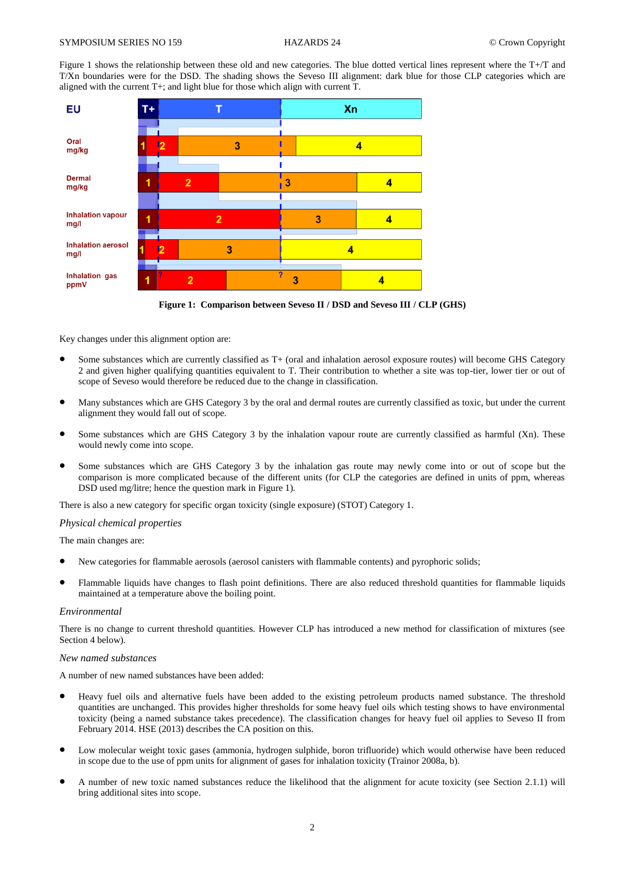Figure 1 shows the relationship between these old and new categories. The blue dotted vertical lines represent where the T+/T and T/Xn boundaries were for the DSD. The shading shows the Seveso III alignment: dark blue for those CLP categories which are aligned with the current  $T+$ ; and light blue for those which align with current  $T$ .



**Figure 1: Comparison between Seveso II / DSD and Seveso III / CLP (GHS)**

Key changes under this alignment option are:

- Some substances which are currently classified as T+ (oral and inhalation aerosol exposure routes) will become GHS Category 2 and given higher qualifying quantities equivalent to T. Their contribution to whether a site was top-tier, lower tier or out of scope of Seveso would therefore be reduced due to the change in classification.
- Many substances which are GHS Category 3 by the oral and dermal routes are currently classified as toxic, but under the current alignment they would fall out of scope.
- Some substances which are GHS Category 3 by the inhalation vapour route are currently classified as harmful (Xn). These would newly come into scope.
- Some substances which are GHS Category 3 by the inhalation gas route may newly come into or out of scope but the comparison is more complicated because of the different units (for CLP the categories are defined in units of ppm, whereas DSD used mg/litre; hence the question mark in Figure 1).

There is also a new category for specific organ toxicity (single exposure) (STOT) Category 1.

### *Physical chemical properties*

The main changes are:

- New categories for flammable aerosols (aerosol canisters with flammable contents) and pyrophoric solids;
- Flammable liquids have changes to flash point definitions. There are also reduced threshold quantities for flammable liquids maintained at a temperature above the boiling point.

### *Environmental*

There is no change to current threshold quantities. However CLP has introduced a new method for classification of mixtures (see Section 4 below).

### *New named substances*

A number of new named substances have been added:

- Heavy fuel oils and alternative fuels have been added to the existing petroleum products named substance. The threshold quantities are unchanged. This provides higher thresholds for some heavy fuel oils which testing shows to have environmental toxicity (being a named substance takes precedence). The classification changes for heavy fuel oil applies to Seveso II from February 2014. HSE (2013) describes the CA position on this.
- Low molecular weight toxic gases (ammonia, hydrogen sulphide, boron trifluoride) which would otherwise have been reduced in scope due to the use of ppm units for alignment of gases for inhalation toxicity (Trainor 2008a, b).
- A number of new toxic named substances reduce the likelihood that the alignment for acute toxicity (see Section 2.1.1) will bring additional sites into scope.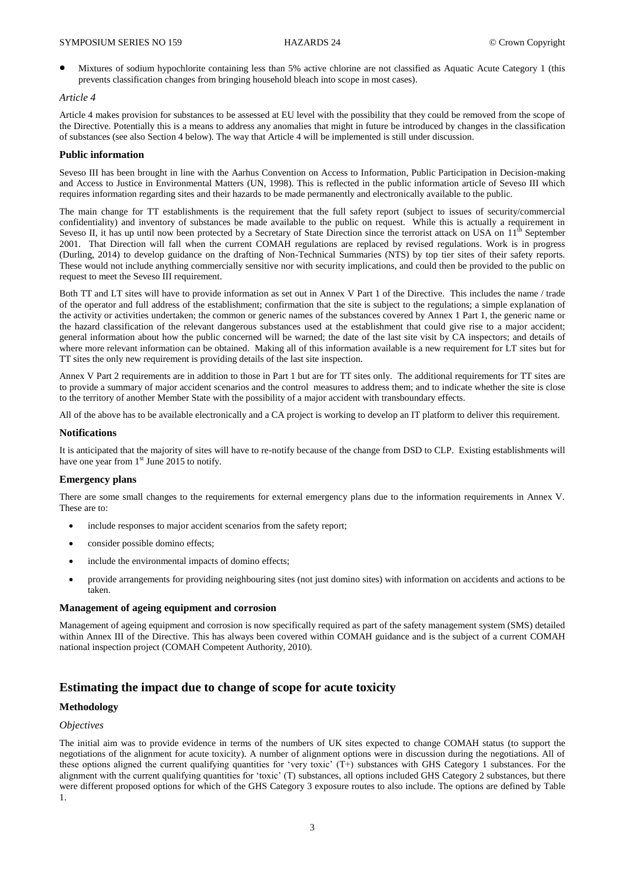Mixtures of sodium hypochlorite containing less than 5% active chlorine are not classified as Aquatic Acute Category 1 (this prevents classification changes from bringing household bleach into scope in most cases).

## *Article 4*

Article 4 makes provision for substances to be assessed at EU level with the possibility that they could be removed from the scope of the Directive. Potentially this is a means to address any anomalies that might in future be introduced by changes in the classification of substances (see also Section 4 below). The way that Article 4 will be implemented is still under discussion.

### **Public information**

Seveso III has been brought in line with the Aarhus Convention on Access to Information, Public Participation in Decision-making and Access to Justice in Environmental Matters (UN, 1998). This is reflected in the public information article of Seveso III which requires information regarding sites and their hazards to be made permanently and electronically available to the public.

The main change for TT establishments is the requirement that the full safety report (subject to issues of security/commercial confidentiality) and inventory of substances be made available to the public on request. While this is actually a requirement in Seveso II, it has up until now been protected by a Secretary of State Direction since the terrorist attack on USA on  $11<sup>th</sup>$  September 2001. That Direction will fall when the current COMAH regulations are replaced by revised regulations. Work is in progress (Durling, 2014) to develop guidance on the drafting of Non-Technical Summaries (NTS) by top tier sites of their safety reports. These would not include anything commercially sensitive nor with security implications, and could then be provided to the public on request to meet the Seveso III requirement.

Both TT and LT sites will have to provide information as set out in Annex V Part 1 of the Directive. This includes the name / trade of the operator and full address of the establishment; confirmation that the site is subject to the regulations; a simple explanation of the activity or activities undertaken; the common or generic names of the substances covered by Annex 1 Part 1, the generic name or the hazard classification of the relevant dangerous substances used at the establishment that could give rise to a major accident; general information about how the public concerned will be warned; the date of the last site visit by CA inspectors; and details of where more relevant information can be obtained. Making all of this information available is a new requirement for LT sites but for TT sites the only new requirement is providing details of the last site inspection.

Annex V Part 2 requirements are in addition to those in Part 1 but are for TT sites only. The additional requirements for TT sites are to provide a summary of major accident scenarios and the control measures to address them; and to indicate whether the site is close to the territory of another Member State with the possibility of a major accident with transboundary effects.

All of the above has to be available electronically and a CA project is working to develop an IT platform to deliver this requirement.

## **Notifications**

It is anticipated that the majority of sites will have to re-notify because of the change from DSD to CLP. Existing establishments will have one year from  $1<sup>st</sup>$  June 2015 to notify.

### **Emergency plans**

There are some small changes to the requirements for external emergency plans due to the information requirements in Annex V. These are to:

- include responses to major accident scenarios from the safety report;
- consider possible domino effects;
- include the environmental impacts of domino effects;
- provide arrangements for providing neighbouring sites (not just domino sites) with information on accidents and actions to be taken.

## **Management of ageing equipment and corrosion**

Management of ageing equipment and corrosion is now specifically required as part of the safety management system (SMS) detailed within Annex III of the Directive. This has always been covered within COMAH guidance and is the subject of a current COMAH national inspection project (COMAH Competent Authority, 2010).

# **Estimating the impact due to change of scope for acute toxicity**

# **Methodology**

## *Objectives*

The initial aim was to provide evidence in terms of the numbers of UK sites expected to change COMAH status (to support the negotiations of the alignment for acute toxicity). A number of alignment options were in discussion during the negotiations. All of these options aligned the current qualifying quantities for 'very toxic' (T+) substances with GHS Category 1 substances. For the alignment with the current qualifying quantities for 'toxic' (T) substances, all options included GHS Category 2 substances, but there were different proposed options for which of the GHS Category 3 exposure routes to also include. The options are defined by Table 1.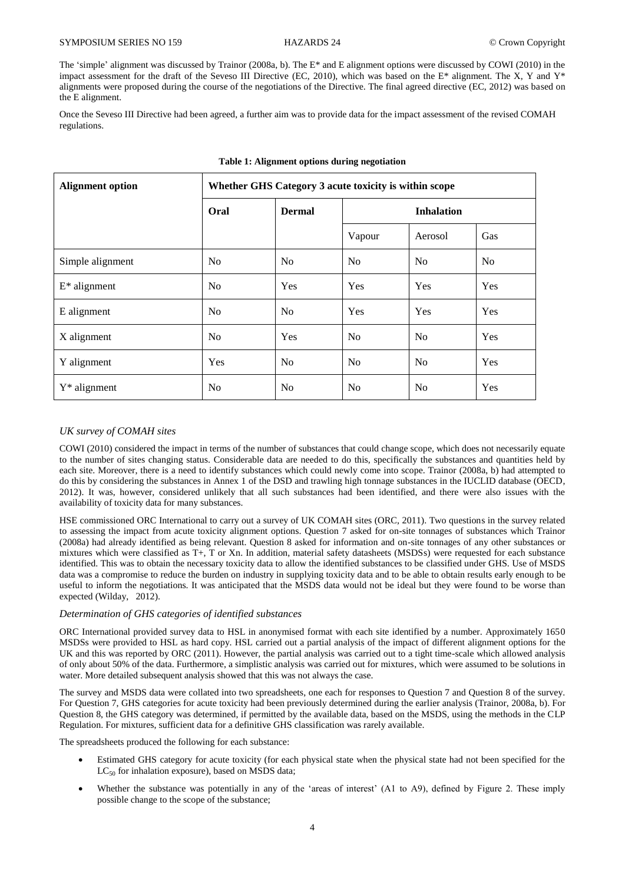The 'simple' alignment was discussed by Trainor (2008a, b). The E\* and E alignment options were discussed by COWI (2010) in the impact assessment for the draft of the Seveso III Directive (EC, 2010), which was based on the E\* alignment. The X, Y and Y\* alignments were proposed during the course of the negotiations of the Directive. The final agreed directive (EC, 2012) was based on the E alignment.

Once the Seveso III Directive had been agreed, a further aim was to provide data for the impact assessment of the revised COMAH regulations.

| <b>Alignment option</b> | Whether GHS Category 3 acute toxicity is within scope |                |                   |                |                |
|-------------------------|-------------------------------------------------------|----------------|-------------------|----------------|----------------|
|                         | Oral                                                  | <b>Dermal</b>  | <b>Inhalation</b> |                |                |
|                         |                                                       |                | Vapour            | Aerosol        | Gas            |
| Simple alignment        | No                                                    | N <sub>o</sub> | N <sub>o</sub>    | N <sub>o</sub> | N <sub>0</sub> |
| $E^*$ alignment         | N <sub>o</sub>                                        | Yes            | Yes               | Yes            | Yes            |
| E alignment             | N <sub>o</sub>                                        | N <sub>o</sub> | Yes               | Yes            | Yes            |
| X alignment             | N <sub>0</sub>                                        | <b>Yes</b>     | N <sub>o</sub>    | N <sub>0</sub> | Yes            |
| Y alignment             | Yes                                                   | N <sub>o</sub> | N <sub>o</sub>    | N <sub>0</sub> | Yes            |
| $Y^*$ alignment         | N <sub>0</sub>                                        | N <sub>o</sub> | No                | N <sub>0</sub> | Yes            |

### **Table 1: Alignment options during negotiation**

## *UK survey of COMAH sites*

COWI (2010) considered the impact in terms of the number of substances that could change scope, which does not necessarily equate to the number of sites changing status. Considerable data are needed to do this, specifically the substances and quantities held by each site. Moreover, there is a need to identify substances which could newly come into scope. Trainor (2008a, b) had attempted to do this by considering the substances in Annex 1 of the DSD and trawling high tonnage substances in the IUCLID database (OECD, 2012). It was, however, considered unlikely that all such substances had been identified, and there were also issues with the availability of toxicity data for many substances.

HSE commissioned ORC International to carry out a survey of UK COMAH sites (ORC, 2011). Two questions in the survey related to assessing the impact from acute toxicity alignment options. Question 7 asked for on-site tonnages of substances which Trainor (2008a) had already identified as being relevant. Question 8 asked for information and on-site tonnages of any other substances or mixtures which were classified as T+, T or Xn. In addition, material safety datasheets (MSDSs) were requested for each substance identified. This was to obtain the necessary toxicity data to allow the identified substances to be classified under GHS. Use of MSDS data was a compromise to reduce the burden on industry in supplying toxicity data and to be able to obtain results early enough to be useful to inform the negotiations. It was anticipated that the MSDS data would not be ideal but they were found to be worse than expected (Wilday, 2012).

## *Determination of GHS categories of identified substances*

ORC International provided survey data to HSL in anonymised format with each site identified by a number. Approximately 1650 MSDSs were provided to HSL as hard copy. HSL carried out a partial analysis of the impact of different alignment options for the UK and this was reported by ORC (2011). However, the partial analysis was carried out to a tight time-scale which allowed analysis of only about 50% of the data. Furthermore, a simplistic analysis was carried out for mixtures, which were assumed to be solutions in water. More detailed subsequent analysis showed that this was not always the case.

The survey and MSDS data were collated into two spreadsheets, one each for responses to Question 7 and Question 8 of the survey. For Question 7, GHS categories for acute toxicity had been previously determined during the earlier analysis (Trainor, 2008a, b). For Question 8, the GHS category was determined, if permitted by the available data, based on the MSDS, using the methods in the CLP Regulation. For mixtures, sufficient data for a definitive GHS classification was rarely available.

The spreadsheets produced the following for each substance:

- Estimated GHS category for acute toxicity (for each physical state when the physical state had not been specified for the  $LC_{50}$  for inhalation exposure), based on MSDS data;
- Whether the substance was potentially in any of the 'areas of interest' (A1 to A9), defined by Figure 2. These imply possible change to the scope of the substance;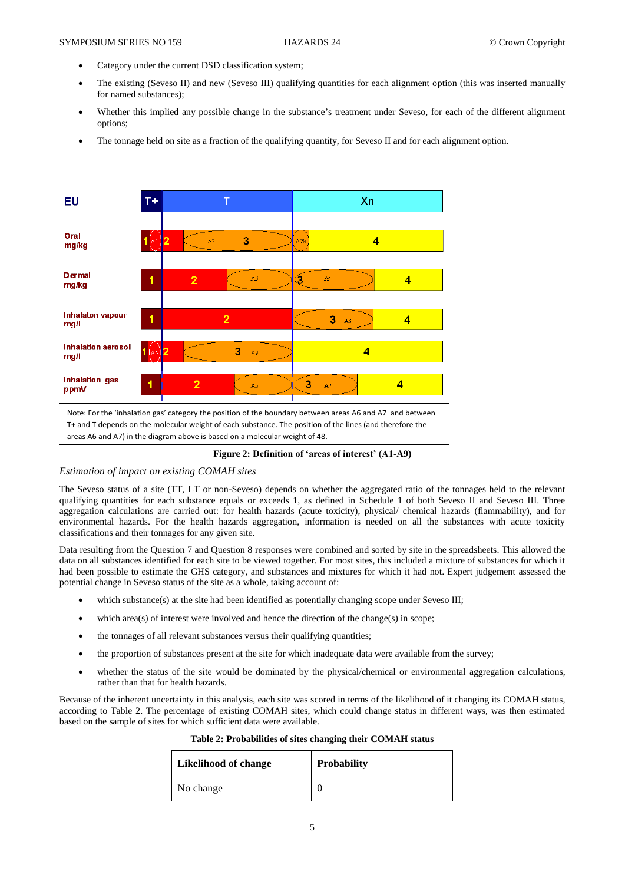- Category under the current DSD classification system;
- The existing (Seveso II) and new (Seveso III) qualifying quantities for each alignment option (this was inserted manually for named substances);
- Whether this implied any possible change in the substance's treatment under Seveso, for each of the different alignment options;
- The tonnage held on site as a fraction of the qualifying quantity, for Seveso II and for each alignment option.



**Figure 2: Definition of 'areas of interest' (A1-A9)**

## *Estimation of impact on existing COMAH sites*

The Seveso status of a site (TT, LT or non-Seveso) depends on whether the aggregated ratio of the tonnages held to the relevant qualifying quantities for each substance equals or exceeds 1, as defined in Schedule 1 of both Seveso II and Seveso III. Three aggregation calculations are carried out: for health hazards (acute toxicity), physical/ chemical hazards (flammability), and for environmental hazards. For the health hazards aggregation, information is needed on all the substances with acute toxicity classifications and their tonnages for any given site.

Data resulting from the Question 7 and Question 8 responses were combined and sorted by site in the spreadsheets. This allowed the data on all substances identified for each site to be viewed together. For most sites, this included a mixture of substances for which it had been possible to estimate the GHS category, and substances and mixtures for which it had not. Expert judgement assessed the potential change in Seveso status of the site as a whole, taking account of:

- which substance(s) at the site had been identified as potentially changing scope under Seveso III;
- which area(s) of interest were involved and hence the direction of the change(s) in scope;
- the tonnages of all relevant substances versus their qualifying quantities;
- the proportion of substances present at the site for which inadequate data were available from the survey;
- whether the status of the site would be dominated by the physical/chemical or environmental aggregation calculations, rather than that for health hazards.

Because of the inherent uncertainty in this analysis, each site was scored in terms of the likelihood of it changing its COMAH status, according to Table 2. The percentage of existing COMAH sites, which could change status in different ways, was then estimated based on the sample of sites for which sufficient data were available.

| Table 2: Probabilities of sites changing their COMAH status |  |  |
|-------------------------------------------------------------|--|--|
|-------------------------------------------------------------|--|--|

| <b>Likelihood of change</b> | <b>Probability</b> |
|-----------------------------|--------------------|
| No change                   |                    |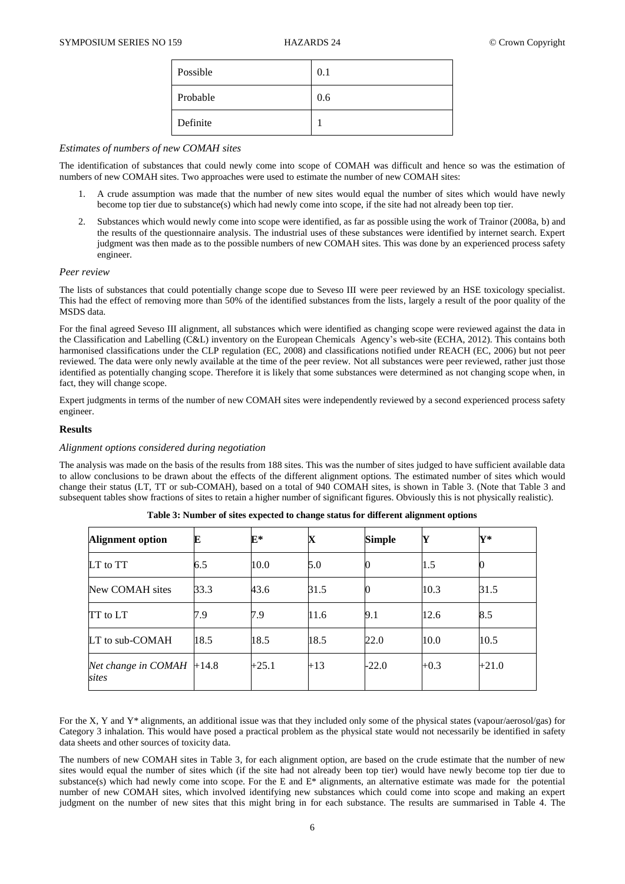| Possible | 0.1 |
|----------|-----|
| Probable | 0.6 |
| Definite |     |

## *Estimates of numbers of new COMAH sites*

The identification of substances that could newly come into scope of COMAH was difficult and hence so was the estimation of numbers of new COMAH sites. Two approaches were used to estimate the number of new COMAH sites:

- 1. A crude assumption was made that the number of new sites would equal the number of sites which would have newly become top tier due to substance(s) which had newly come into scope, if the site had not already been top tier.
- 2. Substances which would newly come into scope were identified, as far as possible using the work of Trainor (2008a, b) and the results of the questionnaire analysis. The industrial uses of these substances were identified by internet search. Expert judgment was then made as to the possible numbers of new COMAH sites. This was done by an experienced process safety engineer.

## *Peer review*

The lists of substances that could potentially change scope due to Seveso III were peer reviewed by an HSE toxicology specialist. This had the effect of removing more than 50% of the identified substances from the lists, largely a result of the poor quality of the MSDS data.

For the final agreed Seveso III alignment, all substances which were identified as changing scope were reviewed against the data in the Classification and Labelling (C&L) inventory on the European Chemicals Agency's web-site (ECHA, 2012). This contains both harmonised classifications under the CLP regulation (EC, 2008) and classifications notified under REACH (EC, 2006) but not peer reviewed. The data were only newly available at the time of the peer review. Not all substances were peer reviewed, rather just those identified as potentially changing scope. Therefore it is likely that some substances were determined as not changing scope when, in fact, they will change scope.

Expert judgments in terms of the number of new COMAH sites were independently reviewed by a second experienced process safety engineer.

## **Results**

## *Alignment options considered during negotiation*

The analysis was made on the basis of the results from 188 sites. This was the number of sites judged to have sufficient available data to allow conclusions to be drawn about the effects of the different alignment options. The estimated number of sites which would change their status (LT, TT or sub-COMAH), based on a total of 940 COMAH sites, is shown in Table 3. (Note that Table 3 and subsequent tables show fractions of sites to retain a higher number of significant figures. Obviously this is not physically realistic).

| Alignment option             | Е       | $\mathbf{E}^*$ | X     | <b>Simple</b> | Y      | $Y^*$   |
|------------------------------|---------|----------------|-------|---------------|--------|---------|
| LT to TT                     | 6.5     | 10.0           | 5.0   |               | 1.5    |         |
| New COMAH sites              | 33.3    | 43.6           | 31.5  |               | 10.3   | 31.5    |
| TT to LT                     | 7.9     | 7.9            | 11.6  | 9.1           | 12.6   | 8.5     |
| LT to sub-COMAH              | 18.5    | 18.5           | 18.5  | 22.0          | 10.0   | 10.5    |
| Net change in COMAH<br>sites | $+14.8$ | $+25.1$        | $+13$ | $-22.0$       | $+0.3$ | $+21.0$ |

| Table 3: Number of sites expected to change status for different alignment options |  |  |  |  |
|------------------------------------------------------------------------------------|--|--|--|--|
|------------------------------------------------------------------------------------|--|--|--|--|

For the X, Y and Y\* alignments, an additional issue was that they included only some of the physical states (vapour/aerosol/gas) for Category 3 inhalation. This would have posed a practical problem as the physical state would not necessarily be identified in safety data sheets and other sources of toxicity data.

The numbers of new COMAH sites in Table 3, for each alignment option, are based on the crude estimate that the number of new sites would equal the number of sites which (if the site had not already been top tier) would have newly become top tier due to substance(s) which had newly come into scope. For the E and E\* alignments, an alternative estimate was made for the potential number of new COMAH sites, which involved identifying new substances which could come into scope and making an expert judgment on the number of new sites that this might bring in for each substance. The results are summarised in Table 4. The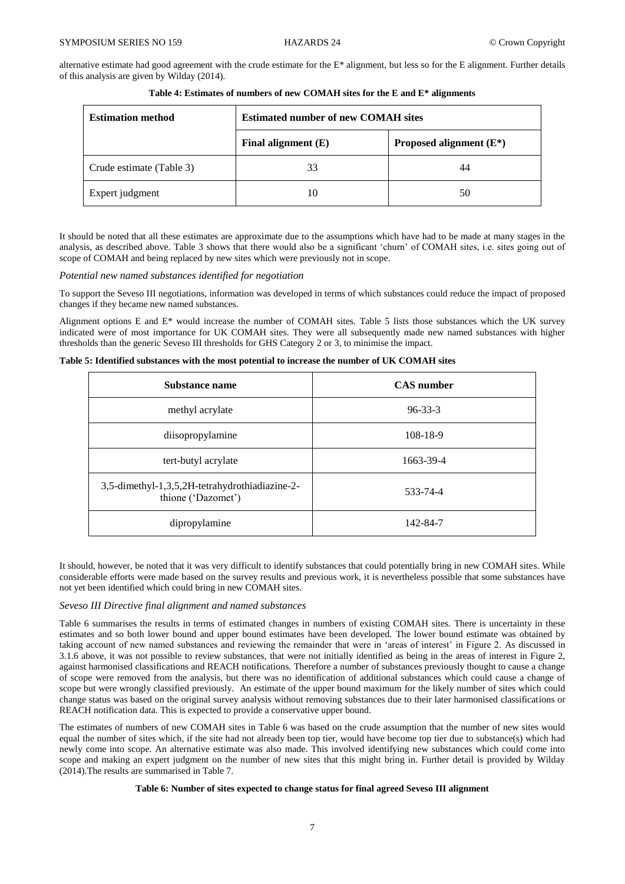alternative estimate had good agreement with the crude estimate for the E\* alignment, but less so for the E alignment. Further details of this analysis are given by Wilday (2014).

| <b>Estimation method</b> | <b>Estimated number of new COMAH sites</b> |                            |  |
|--------------------------|--------------------------------------------|----------------------------|--|
|                          | Final alignment $(E)$                      | Proposed alignment $(E^*)$ |  |
| Crude estimate (Table 3) | 33                                         | 44                         |  |
| Expert judgment          |                                            | 50                         |  |

**Table 4: Estimates of numbers of new COMAH sites for the E and E\* alignments**

It should be noted that all these estimates are approximate due to the assumptions which have had to be made at many stages in the analysis, as described above. Table 3 shows that there would also be a significant 'churn' of COMAH sites, i.e. sites going out of scope of COMAH and being replaced by new sites which were previously not in scope.

#### *Potential new named substances identified for negotiation*

To support the Seveso III negotiations, information was developed in terms of which substances could reduce the impact of proposed changes if they became new named substances.

Alignment options E and E\* would increase the number of COMAH sites. Table 5 lists those substances which the UK survey indicated were of most importance for UK COMAH sites. They were all subsequently made new named substances with higher thresholds than the generic Seveso III thresholds for GHS Category 2 or 3, to minimise the impact.

**Table 5: Identified substances with the most potential to increase the number of UK COMAH sites**

| Substance name                                                       | <b>CAS</b> number |
|----------------------------------------------------------------------|-------------------|
| methyl acrylate                                                      | $96 - 33 - 3$     |
| diisopropylamine                                                     | 108-18-9          |
| tert-butyl acrylate                                                  | 1663-39-4         |
| 3,5-dimethyl-1,3,5,2H-tetrahydrothiadiazine-2-<br>thione ('Dazomet') | 533-74-4          |
| dipropylamine                                                        | 142-84-7          |

It should, however, be noted that it was very difficult to identify substances that could potentially bring in new COMAH sites. While considerable efforts were made based on the survey results and previous work, it is nevertheless possible that some substances have not yet been identified which could bring in new COMAH sites.

## *Seveso III Directive final alignment and named substances*

Table 6 summarises the results in terms of estimated changes in numbers of existing COMAH sites. There is uncertainty in these estimates and so both lower bound and upper bound estimates have been developed. The lower bound estimate was obtained by taking account of new named substances and reviewing the remainder that were in 'areas of interest' in Figure 2. As discussed in 3.1.6 above, it was not possible to review substances, that were not initially identified as being in the areas of interest in Figure 2, against harmonised classifications and REACH notifications. Therefore a number of substances previously thought to cause a change of scope were removed from the analysis, but there was no identification of additional substances which could cause a change of scope but were wrongly classified previously. An estimate of the upper bound maximum for the likely number of sites which could change status was based on the original survey analysis without removing substances due to their later harmonised classifications or REACH notification data. This is expected to provide a conservative upper bound.

The estimates of numbers of new COMAH sites in Table 6 was based on the crude assumption that the number of new sites would equal the number of sites which, if the site had not already been top tier, would have become top tier due to substance(s) which had newly come into scope. An alternative estimate was also made. This involved identifying new substances which could come into scope and making an expert judgment on the number of new sites that this might bring in. Further detail is provided by Wilday (2014).The results are summarised in Table 7.

## **Table 6: Number of sites expected to change status for final agreed Seveso III alignment**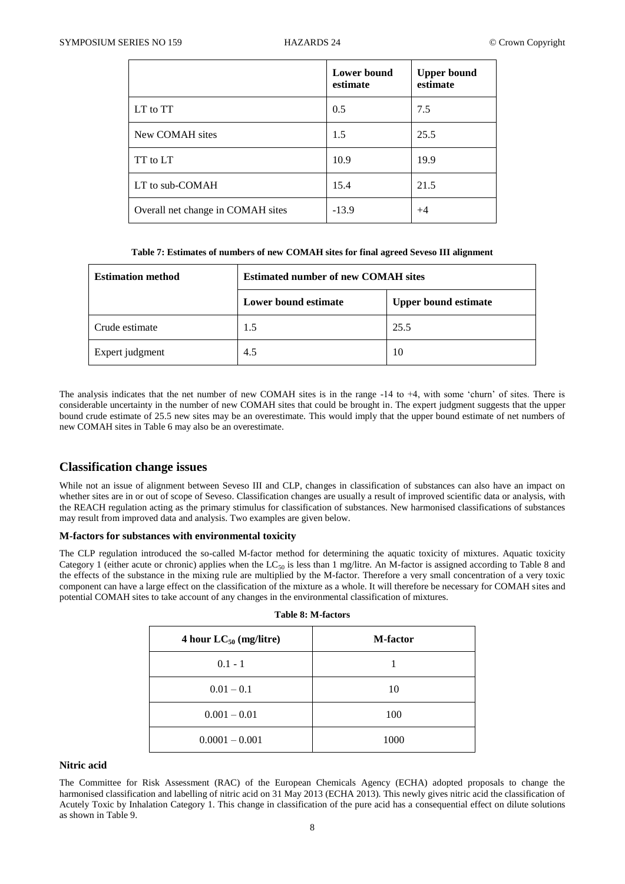|                                   | Lower bound<br>estimate | <b>Upper bound</b><br>estimate |
|-----------------------------------|-------------------------|--------------------------------|
| LT to TT                          | 0.5                     | 7.5                            |
| New COMAH sites                   | 1.5                     | 25.5                           |
| TT to LT                          | 10.9                    | 19.9                           |
| LT to sub-COMAH                   | 15.4                    | 21.5                           |
| Overall net change in COMAH sites | $-13.9$                 | $+4$                           |

|  |  | Table 7: Estimates of numbers of new COMAH sites for final agreed Seveso III alignment |
|--|--|----------------------------------------------------------------------------------------|

| <b>Estimation method</b> | <b>Estimated number of new COMAH sites</b> |                             |  |
|--------------------------|--------------------------------------------|-----------------------------|--|
|                          | Lower bound estimate                       | <b>Upper bound estimate</b> |  |
| Crude estimate           | 1.5                                        | 25.5                        |  |
| Expert judgment          | 4.5                                        | 10                          |  |

The analysis indicates that the net number of new COMAH sites is in the range -14 to +4, with some 'churn' of sites. There is considerable uncertainty in the number of new COMAH sites that could be brought in. The expert judgment suggests that the upper bound crude estimate of 25.5 new sites may be an overestimate. This would imply that the upper bound estimate of net numbers of new COMAH sites in Table 6 may also be an overestimate.

# **Classification change issues**

While not an issue of alignment between Seveso III and CLP, changes in classification of substances can also have an impact on whether sites are in or out of scope of Seveso. Classification changes are usually a result of improved scientific data or analysis, with the REACH regulation acting as the primary stimulus for classification of substances. New harmonised classifications of substances may result from improved data and analysis. Two examples are given below.

## **M-factors for substances with environmental toxicity**

The CLP regulation introduced the so-called M-factor method for determining the aquatic toxicity of mixtures. Aquatic toxicity Category 1 (either acute or chronic) applies when the LC<sub>50</sub> is less than 1 mg/litre. An M-factor is assigned according to Table 8 and the effects of the substance in the mixing rule are multiplied by the M-factor. Therefore a very small concentration of a very toxic component can have a large effect on the classification of the mixture as a whole. It will therefore be necessary for COMAH sites and potential COMAH sites to take account of any changes in the environmental classification of mixtures.

**Table 8: M-factors**

| 4 hour $LC_{50}$ (mg/litre) | M-factor |
|-----------------------------|----------|
| $0.1 - 1$                   |          |
| $0.01 - 0.1$                | 10       |
| $0.001 - 0.01$              | 100      |
| $0.0001 - 0.001$            | 1000     |

## **Nitric acid**

The Committee for Risk Assessment (RAC) of the European Chemicals Agency (ECHA) adopted proposals to change the harmonised classification and labelling of nitric acid on 31 May 2013 (ECHA 2013). This newly gives nitric acid the classification of Acutely Toxic by Inhalation Category 1. This change in classification of the pure acid has a consequential effect on dilute solutions as shown in Table 9.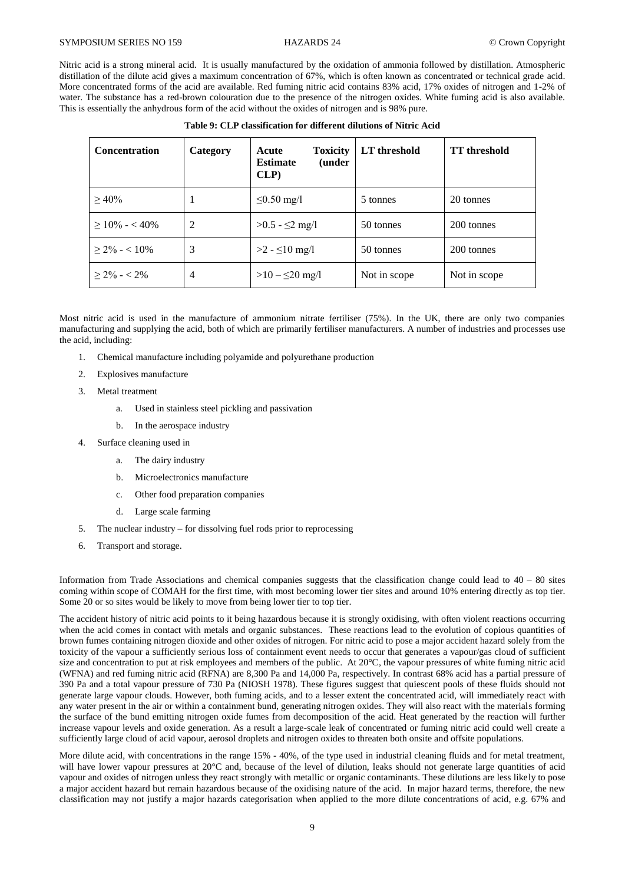Nitric acid is a strong mineral acid. It is usually manufactured by the oxidation of ammonia followed by distillation. Atmospheric distillation of the dilute acid gives a maximum concentration of 67%, which is often known as concentrated or technical grade acid. More concentrated forms of the acid are available. Red fuming nitric acid contains 83% acid, 17% oxides of nitrogen and 1-2% of water. The substance has a red-brown colouration due to the presence of the nitrogen oxides. White fuming acid is also available. This is essentially the anhydrous form of the acid without the oxides of nitrogen and is 98% pure.

| <b>Concentration</b> | Category       | <b>Toxicity</b><br>Acute<br><b>Estimate</b><br>(under<br>CLP | LT threshold | <b>TT</b> threshold |
|----------------------|----------------|--------------------------------------------------------------|--------------|---------------------|
| $>40\%$              | 1              | $\leq 0.50$ mg/l                                             | 5 tonnes     | 20 tonnes           |
| $\geq 10\% - 10\%$   | 2              | $>0.5 - 2$ mg/l                                              | 50 tonnes    | 200 tonnes          |
| $> 2\% - 10\%$       | 3              | $>2 - 10$ mg/l                                               | 50 tonnes    | 200 tonnes          |
| $> 2\% - 2\%$        | $\overline{4}$ | $>10 - 520$ mg/l                                             | Not in scope | Not in scope        |

Most nitric acid is used in the manufacture of ammonium nitrate fertiliser (75%). In the UK, there are only two companies manufacturing and supplying the acid, both of which are primarily fertiliser manufacturers. A number of industries and processes use the acid, including:

- 1. Chemical manufacture including polyamide and polyurethane production
- 2. Explosives manufacture
- 3. Metal treatment
	- a. Used in stainless steel pickling and passivation
	- b. In the aerospace industry
- 4. Surface cleaning used in
	- a. The dairy industry
	- b. Microelectronics manufacture
	- c. Other food preparation companies
	- d. Large scale farming
- 5. The nuclear industry for dissolving fuel rods prior to reprocessing
- 6. Transport and storage.

Information from Trade Associations and chemical companies suggests that the classification change could lead to  $40 - 80$  sites coming within scope of COMAH for the first time, with most becoming lower tier sites and around 10% entering directly as top tier. Some 20 or so sites would be likely to move from being lower tier to top tier.

The accident history of nitric acid points to it being hazardous because it is strongly oxidising, with often violent reactions occurring when the acid comes in contact with metals and organic substances. These reactions lead to the evolution of copious quantities of brown fumes containing nitrogen dioxide and other oxides of nitrogen. For nitric acid to pose a major accident hazard solely from the toxicity of the vapour a sufficiently serious loss of containment event needs to occur that generates a vapour/gas cloud of sufficient size and concentration to put at risk employees and members of the public. At 20°C, the vapour pressures of white fuming nitric acid (WFNA) and red fuming nitric acid (RFNA) are 8,300 Pa and 14,000 Pa, respectively. In contrast 68% acid has a partial pressure of 390 Pa and a total vapour pressure of 730 Pa (NIOSH 1978). These figures suggest that quiescent pools of these fluids should not generate large vapour clouds. However, both fuming acids, and to a lesser extent the concentrated acid, will immediately react with any water present in the air or within a containment bund, generating nitrogen oxides. They will also react with the materials forming the surface of the bund emitting nitrogen oxide fumes from decomposition of the acid. Heat generated by the reaction will further increase vapour levels and oxide generation. As a result a large-scale leak of concentrated or fuming nitric acid could well create a sufficiently large cloud of acid vapour, aerosol droplets and nitrogen oxides to threaten both onsite and offsite populations.

More dilute acid, with concentrations in the range 15% - 40%, of the type used in industrial cleaning fluids and for metal treatment, will have lower vapour pressures at 20°C and, because of the level of dilution, leaks should not generate large quantities of acid vapour and oxides of nitrogen unless they react strongly with metallic or organic contaminants. These dilutions are less likely to pose a major accident hazard but remain hazardous because of the oxidising nature of the acid. In major hazard terms, therefore, the new classification may not justify a major hazards categorisation when applied to the more dilute concentrations of acid, e.g. 67% and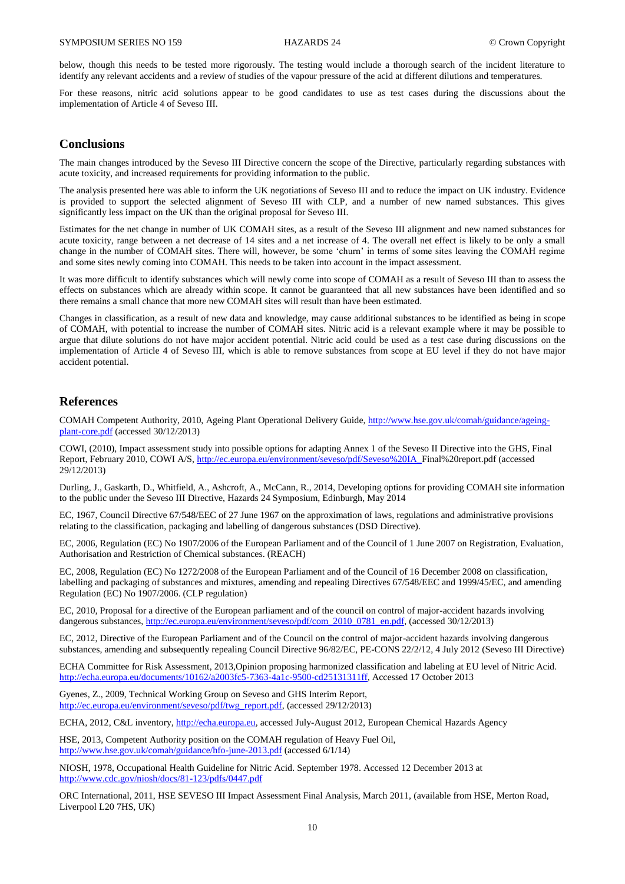below, though this needs to be tested more rigorously. The testing would include a thorough search of the incident literature to identify any relevant accidents and a review of studies of the vapour pressure of the acid at different dilutions and temperatures.

For these reasons, nitric acid solutions appear to be good candidates to use as test cases during the discussions about the implementation of Article 4 of Seveso III.

# **Conclusions**

The main changes introduced by the Seveso III Directive concern the scope of the Directive, particularly regarding substances with acute toxicity, and increased requirements for providing information to the public.

The analysis presented here was able to inform the UK negotiations of Seveso III and to reduce the impact on UK industry. Evidence is provided to support the selected alignment of Seveso III with CLP, and a number of new named substances. This gives significantly less impact on the UK than the original proposal for Seveso III.

Estimates for the net change in number of UK COMAH sites, as a result of the Seveso III alignment and new named substances for acute toxicity, range between a net decrease of 14 sites and a net increase of 4. The overall net effect is likely to be only a small change in the number of COMAH sites. There will, however, be some 'churn' in terms of some sites leaving the COMAH regime and some sites newly coming into COMAH. This needs to be taken into account in the impact assessment.

It was more difficult to identify substances which will newly come into scope of COMAH as a result of Seveso III than to assess the effects on substances which are already within scope. It cannot be guaranteed that all new substances have been identified and so there remains a small chance that more new COMAH sites will result than have been estimated.

Changes in classification, as a result of new data and knowledge, may cause additional substances to be identified as being in scope of COMAH, with potential to increase the number of COMAH sites. Nitric acid is a relevant example where it may be possible to argue that dilute solutions do not have major accident potential. Nitric acid could be used as a test case during discussions on the implementation of Article 4 of Seveso III, which is able to remove substances from scope at EU level if they do not have major accident potential.

# **References**

COMAH Competent Authority, 2010, Ageing Plant Operational Delivery Guide[, http://www.hse.gov.uk/comah/guidance/ageing](http://www.hse.gov.uk/comah/guidance/ageing-plant-core.pdf)[plant-core.pdf](http://www.hse.gov.uk/comah/guidance/ageing-plant-core.pdf) (accessed 30/12/2013)

COWI, (2010), Impact assessment study into possible options for adapting Annex 1 of the Seveso II Directive into the GHS, Final Report, February 2010, COWI A/S, [http://ec.europa.eu/environment/seveso/pdf/Seveso%20IA\\_F](http://ec.europa.eu/environment/seveso/pdf/Seveso%20IA_)inal%20report.pdf (accessed 29/12/2013)

Durling, J., Gaskarth, D., Whitfield, A., Ashcroft, A., McCann, R., 2014, Developing options for providing COMAH site information to the public under the Seveso III Directive, Hazards 24 Symposium, Edinburgh, May 2014

EC, 1967, Council Directive 67/548/EEC of 27 June 1967 on the approximation of laws, regulations and administrative provisions relating to the classification, packaging and labelling of dangerous substances (DSD Directive).

EC, 2006, Regulation (EC) No 1907/2006 of the European Parliament and of the Council of 1 June 2007 on Registration, Evaluation, Authorisation and Restriction of Chemical substances. (REACH)

EC, 2008, Regulation (EC) No 1272/2008 of the European Parliament and of the Council of 16 December 2008 on classification, labelling and packaging of substances and mixtures, amending and repealing Directives 67/548/EEC and 1999/45/EC, and amending Regulation (EC) No 1907/2006. (CLP regulation)

EC, 2010, Proposal for a directive of the European parliament and of the council on control of major-accident hazards involving dangerous substances, [http://ec.europa.eu/environment/seveso/pdf/com\\_2010\\_0781\\_en.pdf,](http://ec.europa.eu/environment/seveso/pdf/com_2010_0781_en.pdf) (accessed 30/12/2013)

EC, 2012, Directive of the European Parliament and of the Council on the control of major-accident hazards involving dangerous substances, amending and subsequently repealing Council Directive 96/82/EC, PE-CONS 22/2/12, 4 July 2012 (Seveso III Directive)

ECHA Committee for Risk Assessment, 2013,Opinion proposing harmonized classification and labeling at EU level of Nitric Acid. [http://echa.europa.eu/documents/10162/a2003fc5-7363-4a1c-9500-cd25131311ff,](http://echa.europa.eu/documents/10162/a2003fc5-7363-4a1c-9500-cd25131311ff) Accessed 17 October 2013

Gyenes, Z., 2009, Technical Working Group on Seveso and GHS Interim Report, [http://ec.europa.eu/environment/seveso/pdf/twg\\_report.pdf,](http://ec.europa.eu/environment/seveso/pdf/twg_report.pdf) (accessed 29/12/2013)

ECHA, 2012, C&L inventory, [http://echa.europa.eu,](http://echa.europa.eu/) accessed July-August 2012, European Chemical Hazards Agency

HSE, 2013, Competent Authority position on the COMAH regulation of Heavy Fuel Oil, <http://www.hse.gov.uk/comah/guidance/hfo-june-2013.pdf> (accessed 6/1/14)

NIOSH, 1978, Occupational Health Guideline for Nitric Acid. September 1978. Accessed 12 December 2013 at <http://www.cdc.gov/niosh/docs/81-123/pdfs/0447.pdf>

ORC International, 2011, HSE SEVESO III Impact Assessment Final Analysis, March 2011, (available from HSE, Merton Road, Liverpool L20 7HS, UK)